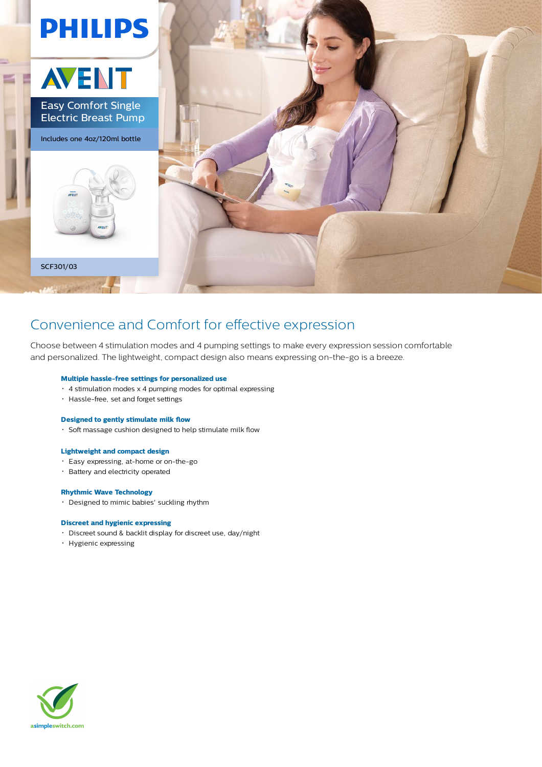

### Convenience and Comfort for effective expression

Choose between 4 stimulation modes and 4 pumping settings to make every expression session comfortable and personalized. The lightweight, compact design also means expressing on-the-go is a breeze.

#### **Multiple hassle-free settings for personalized use**

- 4 stimulation modes x 4 pumping modes for optimal expressing
- Hassle-free, set and forget settings

#### **Designed to gently stimulate milk flow**

Soft massage cushion designed to help stimulate milk flow

#### **Lightweight and compact design**

- Easy expressing, at-home or on-the-go
- Battery and electricity operated

#### **Rhythmic Wave Technology**

Designed to mimic babies' suckling rhythm

#### **Discreet and hygienic expressing**

- Discreet sound & backlit display for discreet use, day/night
- Hygienic expressing

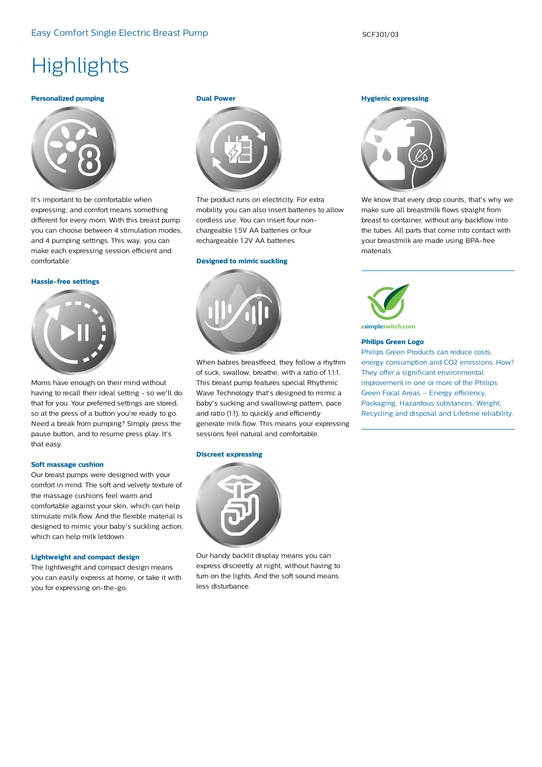# **Highlights**

#### **Personalized pumping**



It's important to be comfortable when expressing, and comfort means something different for every mom. With this breast pump you can choose between 4 stimulation modes, and 4 pumping settings. This way, you can make each expressing session efficient and comfortable.

#### **Hassle-free settings**



Moms have enough on their mind without having to recall their ideal setting - so we'll do that for you. Your preferred settings are stored, so at the press of a button you're ready to go. Need a break from pumping? Simply press the pause button, and to resume press play. It's that easy.

#### **Soft massage cushion**

Our breast pumps were designed with your comfort in mind. The soft and velvety texture of the massage cushions feel warm and comfortable against your skin, which can help stimulate milk flow. And the flexible material is designed to mimic your baby's suckling action, which can help milk letdown.

#### **Lightweight and compact design**

The lightweight and compact design means you can easily express at home, or take it with you for expressing on-the-go.

#### **Dual Power**



The product runs on electricity. For extra mobility you can also insert batteries to allow cordless use. You can insert four nonchargeable 1.5V AA batteries or four rechargeable 1.2V AA batteries

#### **Designed to mimic suckling**



When babies breastfeed, they follow a rhythm of suck, swallow, breathe, with a ratio of 1:1:1. This breast pump features special Rhythmic Wave Technology that's designed to mimic a baby's sucking and swallowing pattern, pace and ratio (1:1), to quickly and efficiently generate milk flow. This means your expressing sessions feel natural and comfortable.

#### **Discreet expressing**



Our handy backlit display means you can express discreetly at night, without having to turn on the lights. And the soft sound means less disturbance.

#### **Hygienic expressing**



We know that every drop counts, that's why we make sure all breastmilk flows straight from breast to container, without any backflow into the tubes. All parts that come into contact with your breastmilk are made using BPA-free materials.



asimpleswitch.com

#### **Philips Green Logo**

Philips Green Products can reduce costs, energy consumption and CO2 emissions. How? They offer a significant environmental improvement in one or more of the Philips Green Focal Areas – Energy efficiency, Packaging, Hazardous substances, Weight, Recycling and disposal and Lifetime reliability.